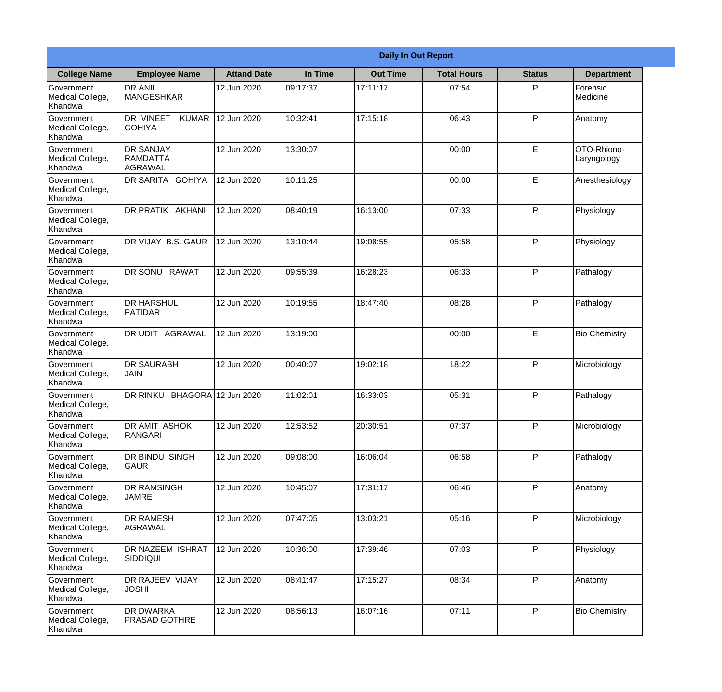|                                                  |                                                |                     |          | <b>Daily In Out Report</b> |                    |               |                            |
|--------------------------------------------------|------------------------------------------------|---------------------|----------|----------------------------|--------------------|---------------|----------------------------|
| <b>College Name</b>                              | <b>Employee Name</b>                           | <b>Attand Date</b>  | In Time  | <b>Out Time</b>            | <b>Total Hours</b> | <b>Status</b> | <b>Department</b>          |
| Government<br>Medical College,<br>Khandwa        | <b>DR ANIL</b><br><b>MANGESHKAR</b>            | 12 Jun 2020         | 09:17:37 | 17:11:17                   | 07:54              | P             | Forensic<br>Medicine       |
| Government<br>Medical College,<br>Khandwa        | DR VINEET<br><b>KUMAR</b><br><b>GOHIYA</b>     | 12 Jun 2020         | 10:32:41 | 17:15:18                   | 06:43              | P             | Anatomy                    |
| <b>Government</b><br>Medical College,<br>Khandwa | <b>DR SANJAY</b><br><b>RAMDATTA</b><br>AGRAWAL | 12 Jun 2020         | 13:30:07 |                            | 00:00              | E             | OTO-Rhiono-<br>Laryngology |
| <b>Government</b><br>Medical College,<br>Khandwa | <b>DR SARITA GOHIYA</b>                        | 12 Jun 2020         | 10:11:25 |                            | 00:00              | E             | Anesthesiology             |
| Government<br>Medical College,<br>Khandwa        | <b>IDR PRATIK AKHANI</b>                       | 12 Jun 2020         | 08:40:19 | 16:13:00                   | 07:33              | P             | Physiology                 |
| Government<br>Medical College,<br>Khandwa        | DR VIJAY B.S. GAUR                             | 12 Jun 2020         | 13:10:44 | 19:08:55                   | 05:58              | P             | Physiology                 |
| <b>Government</b><br>Medical College,<br>Khandwa | DR SONU RAWAT                                  | 12 Jun 2020         | 09:55:39 | 16:28:23                   | 06:33              | P             | Pathalogy                  |
| <b>Government</b><br>Medical College,<br>Khandwa | <b>DR HARSHUL</b><br>PATIDAR                   | 12 Jun 2020         | 10:19:55 | 18:47:40                   | 08:28              | P             | Pathalogy                  |
| Government<br>Medical College,<br>Khandwa        | <b>DR UDIT AGRAWAL</b>                         | 12 Jun 2020         | 13:19:00 |                            | 00:00              | E             | <b>Bio Chemistry</b>       |
| Government<br>Medical College,<br>Khandwa        | <b>DR SAURABH</b><br><b>JAIN</b>               | 12 Jun 2020         | 00:40:07 | 19:02:18                   | 18:22              | P             | Microbiology               |
| Government<br>Medical College,<br>Khandwa        | DR RINKU                                       | BHAGORA112 Jun 2020 | 11:02:01 | 16:33:03                   | 05:31              | P             | Pathalogy                  |
| Government<br>Medical College,<br>Khandwa        | DR AMIT ASHOK<br>RANGARI                       | 12 Jun 2020         | 12:53:52 | 20:30:51                   | 07:37              | P             | Microbiology               |
| Government<br>Medical College,<br>Khandwa        | DR BINDU SINGH<br><b>GAUR</b>                  | 12 Jun 2020         | 09:08:00 | 16:06:04                   | 06:58              | P             | Pathalogy                  |
| Government<br>Medical College,<br>Khandwa        | <b>DR RAMSINGH</b><br><b>JAMRE</b>             | 12 Jun 2020         | 10:45:07 | 17:31:17                   | 06:46              | P             | Anatomy                    |
| Government<br>Medical College,<br>Khandwa        | <b>IDR RAMESH</b><br>AGRAWAL                   | 12 Jun 2020         | 07:47:05 | 13:03:21                   | 05:16              | P             | Microbiology               |
| Government<br>Medical College,<br>Khandwa        | <b>DR NAZEEM ISHRAT</b><br><b>SIDDIQUI</b>     | 12 Jun 2020         | 10:36:00 | 17:39:46                   | 07:03              | P             | Physiology                 |
| Government<br>Medical College,<br>Khandwa        | DR RAJEEV VIJAY<br><b>JOSHI</b>                | 12 Jun 2020         | 08:41:47 | 17:15:27                   | 08:34              | P             | Anatomy                    |
| Government<br>Medical College,<br>Khandwa        | <b>DR DWARKA</b><br><b>PRASAD GOTHRE</b>       | 12 Jun 2020         | 08:56:13 | 16:07:16                   | 07:11              | P             | <b>Bio Chemistry</b>       |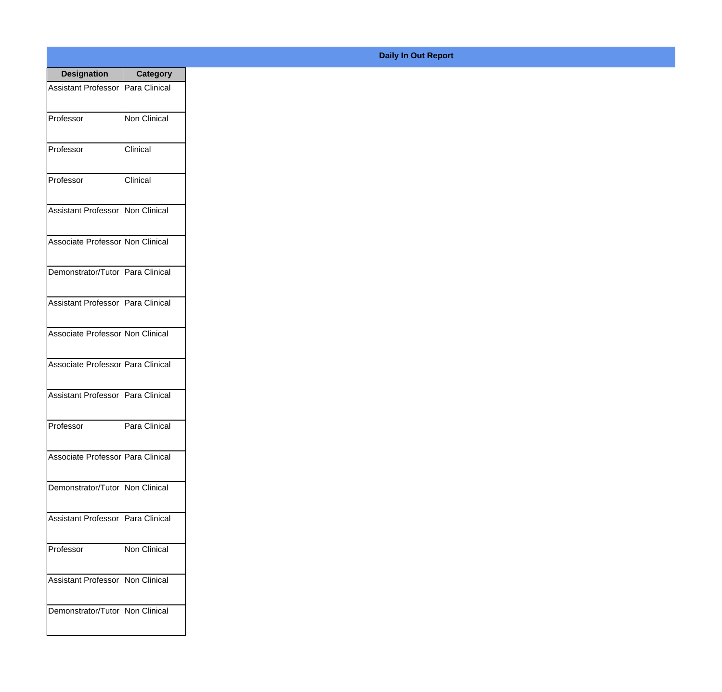| <b>Designation</b>                  | <b>Category</b> |
|-------------------------------------|-----------------|
| <b>Assistant Professor</b>          | Para Clinical   |
| Professor                           | Non Clinical    |
| Professor                           | Clinical        |
| Professor                           | Clinical        |
| <b>Assistant Professor</b>          | Non Clinical    |
| Associate Professor Non Clinical    |                 |
| Demonstrator/Tutor   Para Clinical  |                 |
| Assistant Professor   Para Clinical |                 |
| Associate Professor Non Clinical    |                 |
| Associate Professor   Para Clinical |                 |
| <b>Assistant Professor</b>          | Para Clinical   |
| Professor                           | Para Clinical   |
| Associate Professor Para Clinical   |                 |
| Demonstrator/Tutor   Non Clinical   |                 |
| <b>Assistant Professor</b>          | Para Clinical   |
| Professor                           | Non Clinical    |
| <b>Assistant Professor</b>          | Non Clinical    |
| Demonstrator/Tutor   Non Clinical   |                 |

**Daily In Out Report**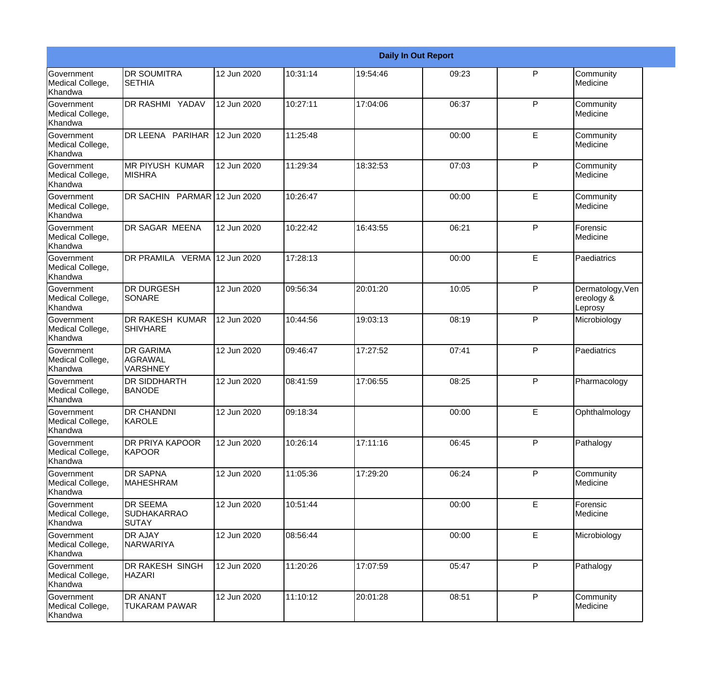|                                                         |                                                       |             |          |          | <b>Daily In Out Report</b> |              |                                           |
|---------------------------------------------------------|-------------------------------------------------------|-------------|----------|----------|----------------------------|--------------|-------------------------------------------|
| Government<br>Medical College,<br>Khandwa               | <b>DR SOUMITRA</b><br><b>SETHIA</b>                   | 12 Jun 2020 | 10:31:14 | 19:54:46 | 09:23                      | P            | Community<br>Medicine                     |
| <b>Government</b><br>Medical College,<br>Khandwa        | DR RASHMI YADAV                                       | 12 Jun 2020 | 10:27:11 | 17:04:06 | 06:37                      | $\mathsf{P}$ | Community<br>Medicine                     |
| <b>Government</b><br>Medical College,<br>Khandwa        | DR LEENA PARIHAR                                      | 12 Jun 2020 | 11:25:48 |          | 00:00                      | E            | Community<br>Medicine                     |
| <b>Government</b><br>Medical College,<br>Khandwa        | <b>MR PIYUSH KUMAR</b><br><b>MISHRA</b>               | 12 Jun 2020 | 11:29:34 | 18:32:53 | 07:03                      | P            | Community<br>Medicine                     |
| Government<br>Medical College,<br>Khandwa               | DR SACHIN PARMAR 12 Jun 2020                          |             | 10:26:47 |          | 00:00                      | E            | Community<br>Medicine                     |
| <b>Government</b><br>Medical College,<br>Khandwa        | <b>DR SAGAR MEENA</b>                                 | 12 Jun 2020 | 10:22:42 | 16:43:55 | 06:21                      | $\mathsf{P}$ | Forensic<br>Medicine                      |
| <b>Government</b><br>Medical College,<br><b>Khandwa</b> | DR PRAMILA VERMA 12 Jun 2020                          |             | 17:28:13 |          | 00:00                      | E            | Paediatrics                               |
| Government<br>Medical College,<br>Khandwa               | <b>DR DURGESH</b><br>SONARE                           | 12 Jun 2020 | 09:56:34 | 20:01:20 | 10:05                      | P            | Dermatology, Ven<br>ereology &<br>Leprosy |
| Government<br>Medical College,<br>Khandwa               | DR RAKESH KUMAR<br><b>SHIVHARE</b>                    | 12 Jun 2020 | 10:44:56 | 19:03:13 | 08:19                      | $\mathsf{P}$ | Microbiology                              |
| <b>Government</b><br>Medical College,<br>Khandwa        | <b>DR GARIMA</b><br><b>AGRAWAL</b><br><b>VARSHNEY</b> | 12 Jun 2020 | 09:46:47 | 17:27:52 | 07:41                      | P            | Paediatrics                               |
| <b>Government</b><br>Medical College,<br>Khandwa        | <b>DR SIDDHARTH</b><br><b>BANODE</b>                  | 12 Jun 2020 | 08:41:59 | 17:06:55 | 08:25                      | P            | Pharmacology                              |
| Government<br>Medical College,<br>Khandwa               | <b>DR CHANDNI</b><br>KAROLE                           | 12 Jun 2020 | 09:18:34 |          | 00:00                      | E            | Ophthalmology                             |
| <b>Government</b><br>Medical College,<br>Khandwa        | DR PRIYA KAPOOR<br>KAPOOR                             | 12 Jun 2020 | 10:26:14 | 17:11:16 | 06:45                      | P            | Pathalogy                                 |
| Government<br>Medical College,<br>Khandwa               | <b>DR SAPNA</b><br><b>MAHESHRAM</b>                   | 12 Jun 2020 | 11:05:36 | 17:29:20 | 06:24                      | $\mathsf{P}$ | Community<br>Medicine                     |
| Government<br>Medical College,<br>Khandwa               | <b>DR SEEMA</b><br><b>SUDHAKARRAO</b><br><b>SUTAY</b> | 12 Jun 2020 | 10:51:44 |          | 00:00                      | E            | Forensic<br>Medicine                      |
| Government<br>Medical College,<br>Khandwa               | <b>DR AJAY</b><br>NARWARIYA                           | 12 Jun 2020 | 08:56:44 |          | 00:00                      | E.           | Microbiology                              |
| Government<br>Medical College,<br>Khandwa               | DR RAKESH SINGH<br><b>HAZARI</b>                      | 12 Jun 2020 | 11:20:26 | 17:07:59 | 05:47                      | P            | Pathalogy                                 |
| Government<br>Medical College,<br>Khandwa               | <b>DR ANANT</b><br>TUKARAM PAWAR                      | 12 Jun 2020 | 11:10:12 | 20:01:28 | 08:51                      | $\mathsf{P}$ | Community<br>Medicine                     |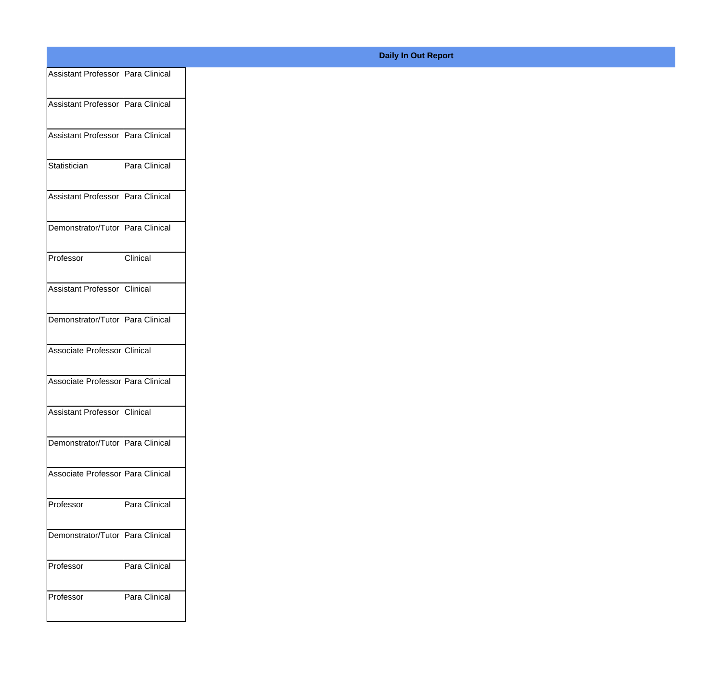| Assistant Professor   Para Clinical |               |
|-------------------------------------|---------------|
|                                     |               |
| Assistant Professor   Para Clinical |               |
| Assistant Professor   Para Clinical |               |
|                                     |               |
| Statistician                        | Para Clinical |
| Assistant Professor   Para Clinical |               |
|                                     |               |
| Demonstrator/Tutor   Para Clinical  |               |
| Professor                           | Clinical      |
|                                     |               |
| Assistant Professor Clinical        |               |
| Demonstrator/Tutor Para Clinical    |               |
| Associate Professor Clinical        |               |
|                                     |               |
| Associate Professor   Para Clinical |               |
| Assistant Professor Clinical        |               |
|                                     |               |
| Demonstrator/Tutor   Para Clinical  |               |
| Associate Professor   Para Clinical |               |
|                                     |               |
| Professor                           | Para Clinical |
|                                     |               |
| Demonstrator/Tutor   Para Clinical  |               |
| Professor                           | Para Clinical |
|                                     |               |
| Professor                           | Para Clinical |
|                                     |               |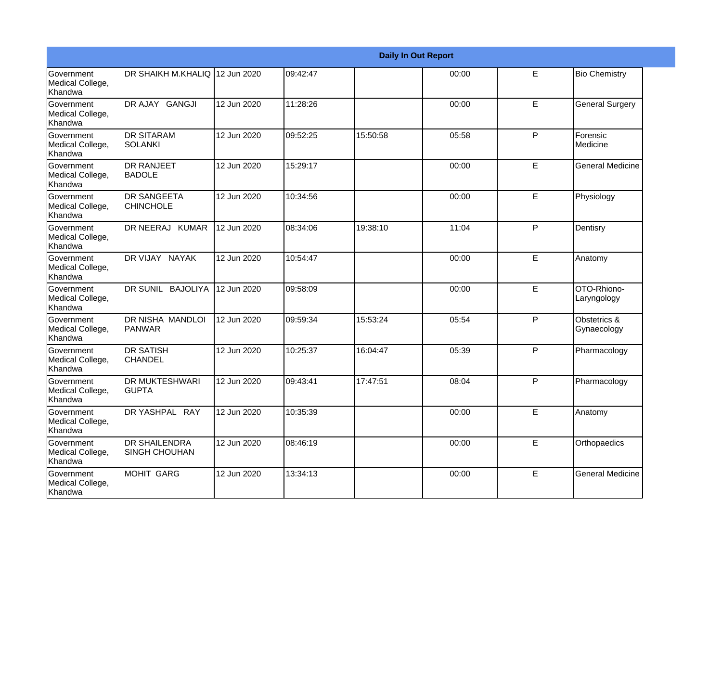|                                                  |                                              |             |          |          | <b>Daily In Out Report</b> |   |                             |
|--------------------------------------------------|----------------------------------------------|-------------|----------|----------|----------------------------|---|-----------------------------|
| <b>Government</b><br>Medical College,<br>Khandwa | DR SHAIKH M.KHALIQ 12 Jun 2020               |             | 09:42:47 |          | 00:00                      | E | <b>Bio Chemistry</b>        |
| <b>Government</b><br>Medical College,<br>Khandwa | DR AJAY GANGJI                               | 12 Jun 2020 | 11:28:26 |          | 00:00                      | E | <b>General Surgery</b>      |
| <b>Government</b><br>Medical College,<br>Khandwa | <b>DR SITARAM</b><br>SOLANKI                 | 12 Jun 2020 | 09:52:25 | 15:50:58 | 05:58                      | P | Forensic<br>Medicine        |
| <b>Government</b><br>Medical College,<br>Khandwa | <b>DR RANJEET</b><br>BADOLE                  | 12 Jun 2020 | 15:29:17 |          | 00:00                      | E | <b>General Medicine</b>     |
| Government<br>Medical College,<br>Khandwa        | <b>DR SANGEETA</b><br><b>CHINCHOLE</b>       | 12 Jun 2020 | 10:34:56 |          | 00:00                      | E | Physiology                  |
| Government<br>Medical College,<br>Khandwa        | DR NEERAJ KUMAR                              | 12 Jun 2020 | 08:34:06 | 19:38:10 | 11:04                      | P | Dentisry                    |
| <b>Government</b><br>Medical College,<br>Khandwa | DR VIJAY NAYAK                               | 12 Jun 2020 | 10:54:47 |          | 00:00                      | E | Anatomy                     |
| Government<br>Medical College,<br>Khandwa        | DR SUNIL BAJOLIYA                            | 12 Jun 2020 | 09:58:09 |          | 00:00                      | E | OTO-Rhiono-<br>Laryngology  |
| <b>Government</b><br>Medical College,<br>Khandwa | DR NISHA MANDLOI<br><b>PANWAR</b>            | 12 Jun 2020 | 09:59:34 | 15:53:24 | 05:54                      | P | Obstetrics &<br>Gynaecology |
| <b>Government</b><br>Medical College,<br>Khandwa | <b>DR SATISH</b><br><b>CHANDEL</b>           | 12 Jun 2020 | 10:25:37 | 16:04:47 | 05:39                      | P | Pharmacology                |
| Government<br>Medical College,<br>Khandwa        | <b>DR MUKTESHWARI</b><br><b>GUPTA</b>        | 12 Jun 2020 | 09:43:41 | 17:47:51 | 08:04                      | P | Pharmacology                |
| Government<br>Medical College,<br>Khandwa        | DR YASHPAL RAY                               | 12 Jun 2020 | 10:35:39 |          | 00:00                      | E | Anatomy                     |
| Government<br>Medical College,<br>Khandwa        | <b>DR SHAILENDRA</b><br><b>SINGH CHOUHAN</b> | 12 Jun 2020 | 08:46:19 |          | 00:00                      | E | Orthopaedics                |
| Government<br>Medical College,<br>Khandwa        | MOHIT GARG                                   | 12 Jun 2020 | 13:34:13 |          | 00:00                      | E | <b>General Medicine</b>     |